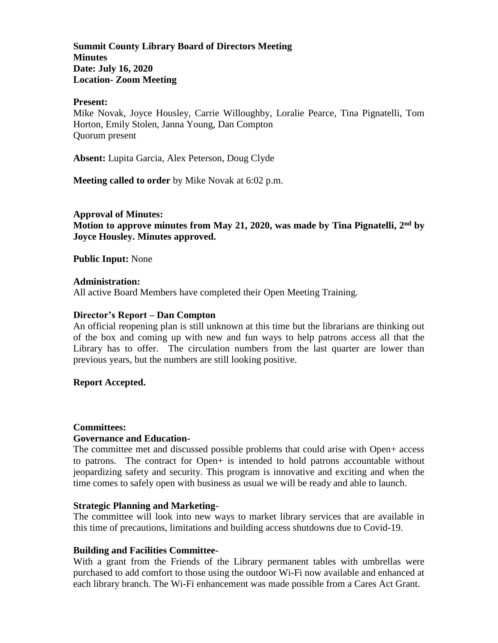**Summit County Library Board of Directors Meeting Minutes Date: July 16, 2020 Location- Zoom Meeting**

#### **Present:**

Mike Novak, Joyce Housley, Carrie Willoughby, Loralie Pearce, Tina Pignatelli, Tom Horton, Emily Stolen, Janna Young, Dan Compton Quorum present

**Absent:** Lupita Garcia, Alex Peterson, Doug Clyde

**Meeting called to order** by Mike Novak at 6:02 p.m.

**Approval of Minutes: Motion to approve minutes from May 21, 2020, was made by Tina Pignatelli, 2 nd by Joyce Housley. Minutes approved.** 

**Public Input:** None

### **Administration:**

All active Board Members have completed their Open Meeting Training.

### **Director's Report – Dan Compton**

An official reopening plan is still unknown at this time but the librarians are thinking out of the box and coming up with new and fun ways to help patrons access all that the Library has to offer. The circulation numbers from the last quarter are lower than previous years, but the numbers are still looking positive.

### **Report Accepted.**

### **Committees:**

### **Governance and Education-**

The committee met and discussed possible problems that could arise with Open+ access to patrons. The contract for Open+ is intended to hold patrons accountable without jeopardizing safety and security. This program is innovative and exciting and when the time comes to safely open with business as usual we will be ready and able to launch.

### **Strategic Planning and Marketing-**

The committee will look into new ways to market library services that are available in this time of precautions, limitations and building access shutdowns due to Covid-19.

### **Building and Facilities Committee-**

With a grant from the Friends of the Library permanent tables with umbrellas were purchased to add comfort to those using the outdoor Wi-Fi now available and enhanced at each library branch. The Wi-Fi enhancement was made possible from a Cares Act Grant.